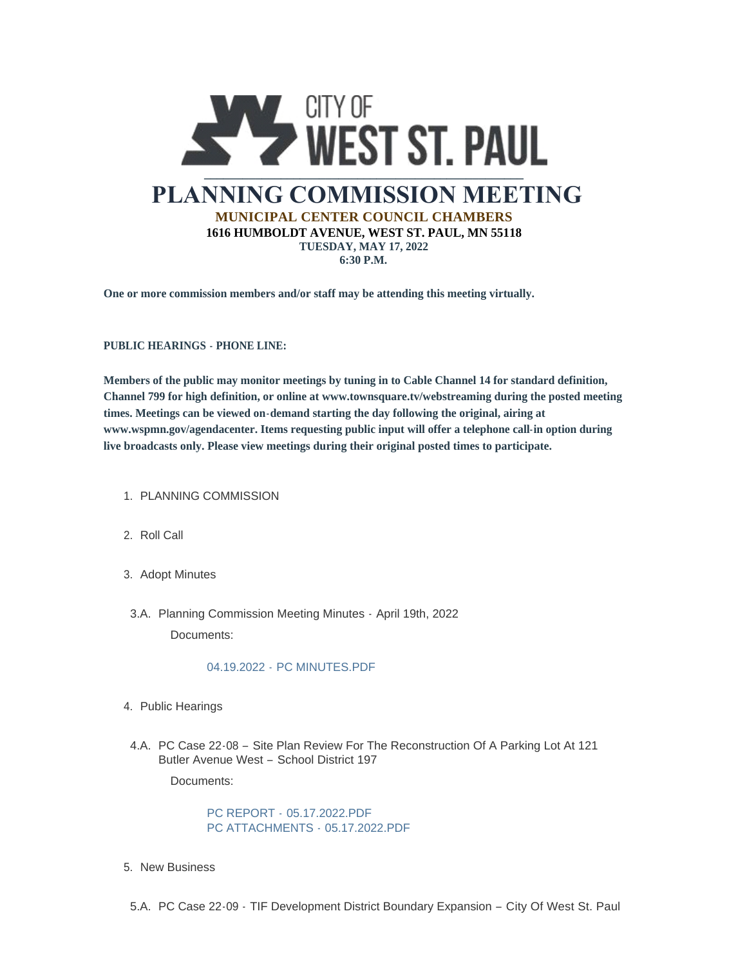

**One or more commission members and/or staff may be attending this meeting virtually.**

**PUBLIC HEARINGS - PHONE LINE:**

**Members of the public may monitor meetings by tuning in to Cable Channel 14 for standard definition, Channel 799 for high definition, or online at www.townsquare.tv/webstreaming during the posted meeting times. Meetings can be viewed on-demand starting the day following the original, airing at www.wspmn.gov/agendacenter. Items requesting public input will offer a telephone call-in option during live broadcasts only. Please view meetings during their original posted times to participate.**

- 1. PLANNING COMMISSION
- 2. Roll Call
- 3. Adopt Minutes
- 3.A. Planning Commission Meeting Minutes April 19th, 2022 Documents:

## 04.19.2022 - [PC MINUTES.PDF](https://www.wspmn.gov/AgendaCenter/ViewFile/Item/12896?fileID=19919)

- 4. Public Hearings
- 4.A. PC Case 22-08 Site Plan Review For The Reconstruction Of A Parking Lot At 121 Butler Avenue West – School District 197

Documents:

PC REPORT - [05.17.2022.PDF](https://www.wspmn.gov/AgendaCenter/ViewFile/Item/12905?fileID=19916) [PC ATTACHMENTS -](https://www.wspmn.gov/AgendaCenter/ViewFile/Item/12905?fileID=19922) 05.17.2022.PDF

- 5. New Business
- 5.A. PC Case 22-09 TIF Development District Boundary Expansion City Of West St. Paul